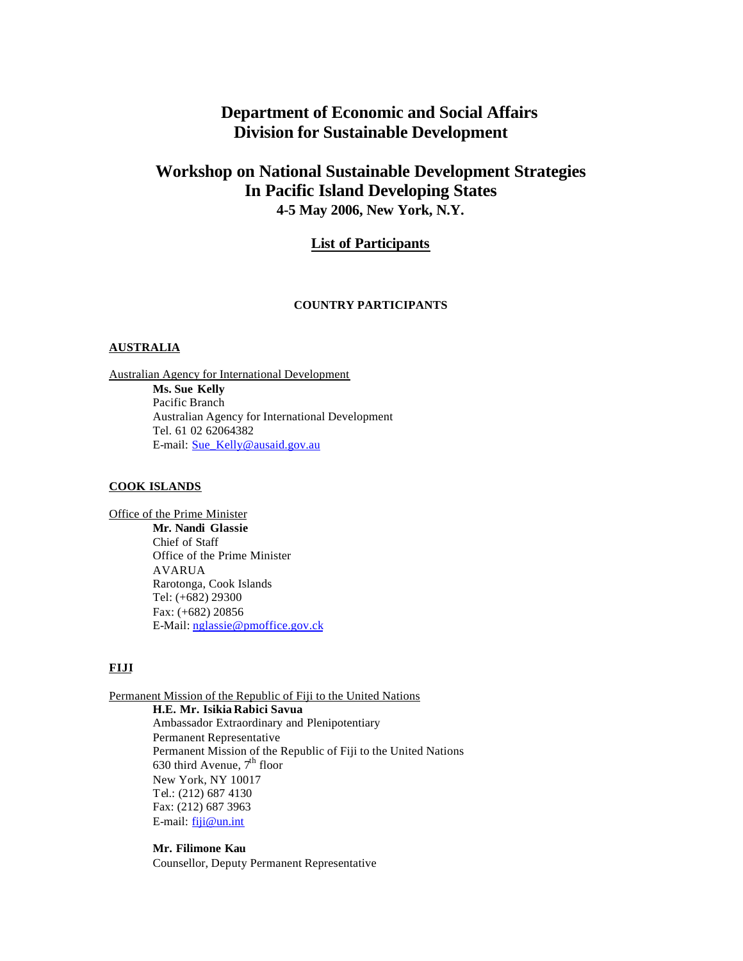# **Department of Economic and Social Affairs Division for Sustainable Development**

# **Workshop on National Sustainable Development Strategies In Pacific Island Developing States 4-5 May 2006, New York, N.Y.**

# **List of Participants**

### **COUNTRY PARTICIPANTS**

## **AUSTRALIA**

Australian Agency for International Development **Ms. Sue Kelly** Pacific Branch Australian Agency for International Development Tel. 61 02 62064382 E-mail: Sue\_Kelly@ausaid.gov.au

### **COOK ISLANDS**

Office of the Prime Minister **Mr. Nandi Glassie** Chief of Staff Office of the Prime Minister AVARUA Rarotonga, Cook Islands Tel: (+682) 29300 Fax: (+682) 20856 E-Mail: nglassie@pmoffice.gov.ck

# **FIJI**

Permanent Mission of the Republic of Fiji to the United Nations

**H.E. Mr. Isikia Rabici Savua** Ambassador Extraordinary and Plenipotentiary Permanent Representative Permanent Mission of the Republic of Fiji to the United Nations 630 third Avenue,  $7<sup>th</sup>$  floor New York, NY 10017 Tel.: (212) 687 4130 Fax: (212) 687 3963 E-mail: fiji@un.int

# **Mr. Filimone Kau**

Counsellor, Deputy Permanent Representative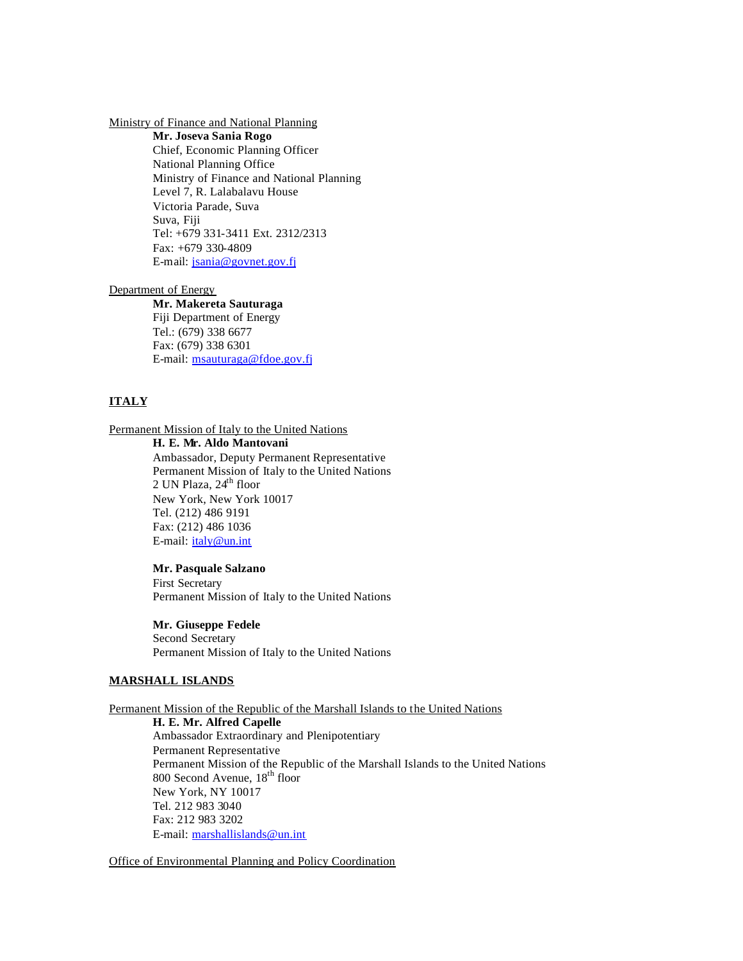### Ministry of Finance and National Planning

**Mr. Joseva Sania Rogo** Chief, Economic Planning Officer National Planning Office Ministry of Finance and National Planning Level 7, R. Lalabalavu House Victoria Parade, Suva Suva, Fiji Tel: +679 331-3411 Ext. 2312/2313 Fax: +679 330-4809 E-mail: jsania@govnet.gov.fj

#### Department of Energy

# **Mr. Makereta Sauturaga**

Fiji Department of Energy Tel.: (679) 338 6677 Fax: (679) 338 6301 E-mail: msauturaga@fdoe.gov.fj

# **ITALY**

## Permanent Mission of Italy to the United Nations

### **H. E. Mr. Aldo Mantovani**

Ambassador, Deputy Permanent Representative Permanent Mission of Italy to the United Nations 2 UN Plaza,  $24<sup>th</sup>$  floor New York, New York 10017 Tel. (212) 486 9191 Fax: (212) 486 1036 E-mail: italy@un.int

## **Mr. Pasquale Salzano**

First Secretary Permanent Mission of Italy to the United Nations

## **Mr. Giuseppe Fedele**

Second Secretary Permanent Mission of Italy to the United Nations

### **MARSHALL ISLANDS**

## Permanent Mission of the Republic of the Marshall Islands to the United Nations

**H. E. Mr. Alfred Capelle** Ambassador Extraordinary and Plenipotentiary Permanent Representative Permanent Mission of the Republic of the Marshall Islands to the United Nations 800 Second Avenue, 18<sup>th</sup> floor New York, NY 10017 Tel. 212 983 3040 Fax: 212 983 3202 E-mail: marshallislands@un.int

Office of Environmental Planning and Policy Coordination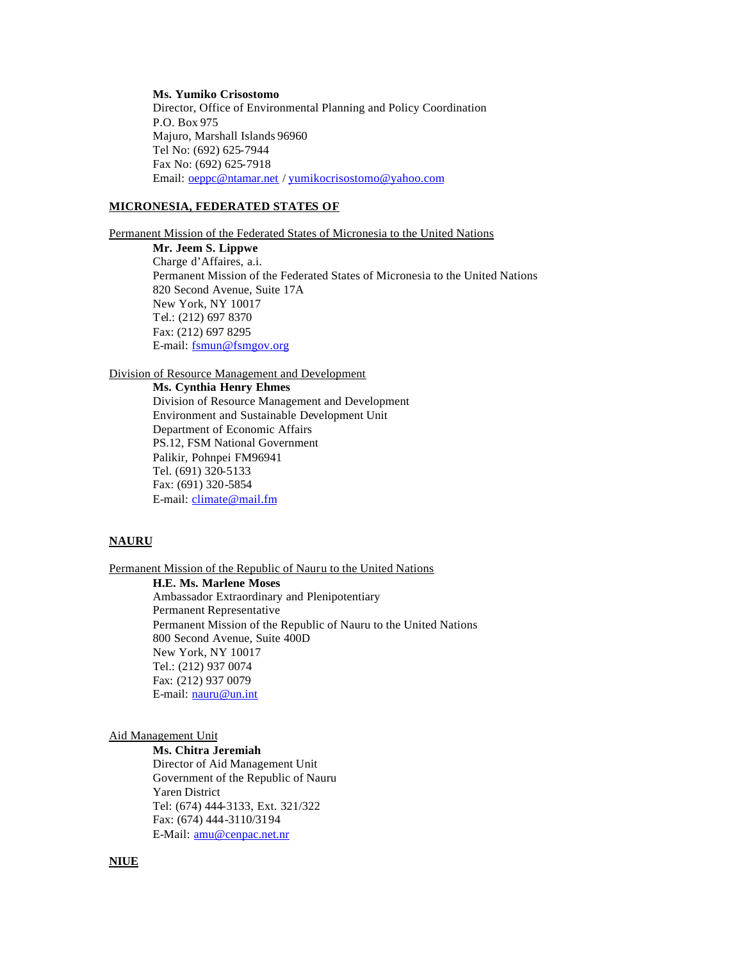## **Ms. Yumiko Crisostomo**

Director, Office of Environmental Planning and Policy Coordination P.O. Box 975 Majuro, Marshall Islands 96960 Tel No: (692) 625-7944 Fax No: (692) 625-7918 Email: oeppc@ntamar.net / yumikocrisostomo@yahoo.com

## **MICRONESIA, FEDERATED STATES OF**

Permanent Mission of the Federated States of Micronesia to the United Nations

**Mr. Jeem S. Lippwe**  Charge d'Affaires, a.i. Permanent Mission of the Federated States of Micronesia to the United Nations 820 Second Avenue, Suite 17A New York, NY 10017 Tel.: (212) 697 8370 Fax: (212) 697 8295 E-mail: fsmun@fsmgov.org

# Division of Resource Management and Development

**Ms. Cynthia Henry Ehmes**

Division of Resource Management and Development Environment and Sustainable Development Unit Department of Economic Affairs PS.12, FSM National Government Palikir, Pohnpei FM96941 Tel. (691) 320-5133 Fax: (691) 320-5854 E-mail: climate@mail.fm

## **NAURU**

Permanent Mission of the Republic of Nauru to the United Nations

**H.E. Ms. Marlene Moses** Ambassador Extraordinary and Plenipotentiary Permanent Representative Permanent Mission of the Republic of Nauru to the United Nations 800 Second Avenue, Suite 400D New York, NY 10017 Tel.: (212) 937 0074 Fax: (212) 937 0079 E-mail: nauru@un.int

#### Aid Management Unit

**Ms. Chitra Jeremiah** Director of Aid Management Unit Government of the Republic of Nauru Yaren District Tel: (674) 444-3133, Ext. 321/322 Fax: (674) 444-3110/3194 E-Mail: amu@cenpac.net.nr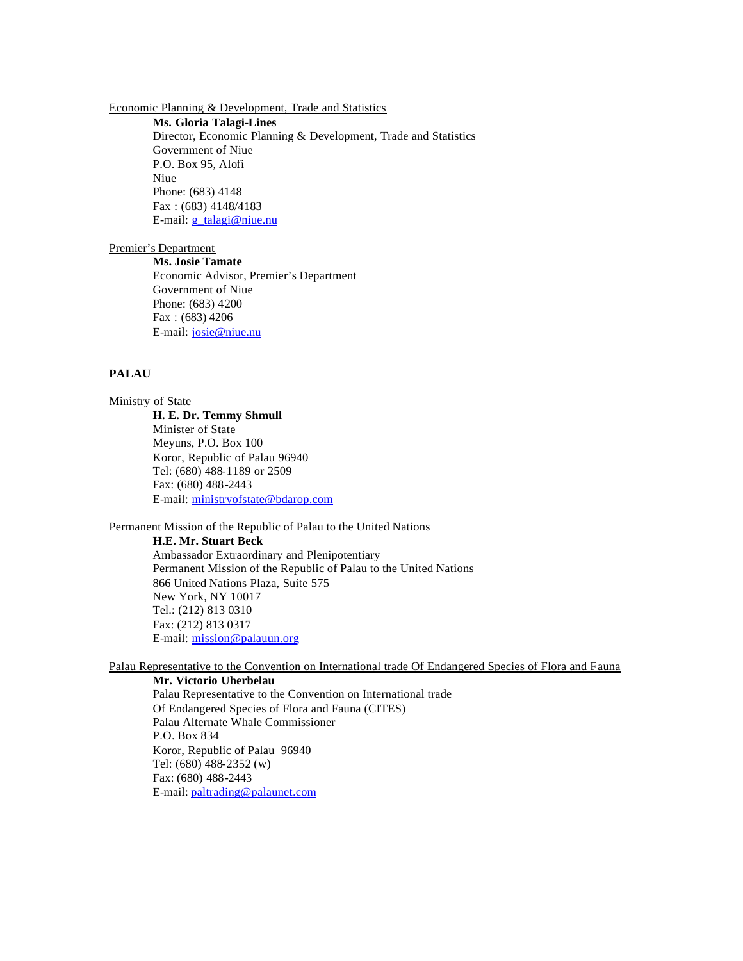Economic Planning & Development, Trade and Statistics

**Ms. Gloria Talagi-Lines**

Director, Economic Planning & Development, Trade and Statistics Government of Niue P.O. Box 95, Alofi Niue Phone: (683) 4148 Fax : (683) 4148/4183 E-mail: *g\_talagi@niue.nu* 

### Premier's Department

**Ms. Josie Tamate** Economic Advisor, Premier's Department Government of Niue Phone: (683) 4200 Fax : (683) 4206 E-mail: josie@niue.nu

## **PALAU**

Ministry of State

**H. E. Dr. Temmy Shmull** Minister of State Meyuns, P.O. Box 100 Koror, Republic of Palau 96940 Tel: (680) 488-1189 or 2509 Fax: (680) 488-2443 E-mail: ministryofstate@bdarop.com

# Permanent Mission of the Republic of Palau to the United Nations

**H.E. Mr. Stuart Beck**

Ambassador Extraordinary and Plenipotentiary Permanent Mission of the Republic of Palau to the United Nations 866 United Nations Plaza, Suite 575 New York, NY 10017 Tel.: (212) 813 0310 Fax: (212) 813 0317 E-mail: mission@palauun.org

Palau Representative to the Convention on International trade Of Endangered Species of Flora and Fauna

**Mr. Victorio Uherbelau**

Palau Representative to the Convention on International trade Of Endangered Species of Flora and Fauna (CITES) Palau Alternate Whale Commissioner P.O. Box 834 Koror, Republic of Palau 96940 Tel: (680) 488-2352 (w) Fax: (680) 488-2443 E-mail: paltrading@palaunet.com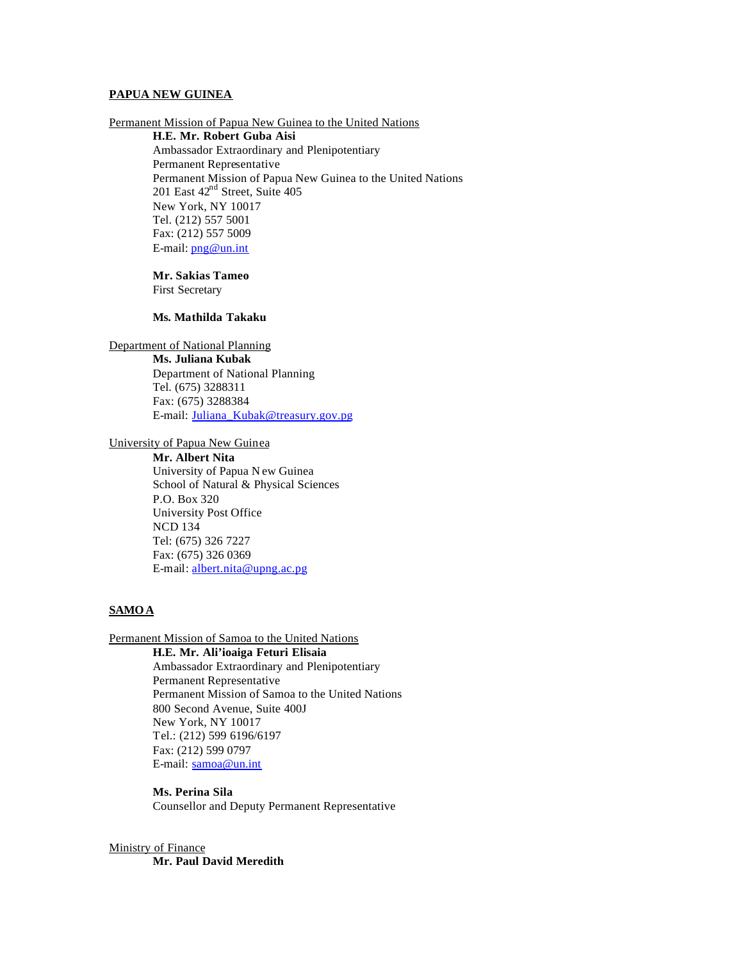### **PAPUA NEW GUINEA**

Permanent Mission of Papua New Guinea to the United Nations

**H.E. Mr. Robert Guba Aisi** Ambassador Extraordinary and Plenipotentiary Permanent Representative Permanent Mission of Papua New Guinea to the United Nations 201 East 42<sup>nd</sup> Street, Suite 405 New York, NY 10017 Tel. (212) 557 5001 Fax: (212) 557 5009 E-mail: png@un.int

**Mr. Sakias Tameo** First Secretary

### **Ms. Mathilda Takaku**

Department of National Planning

**Ms. Juliana Kubak**

Department of National Planning Tel. (675) 3288311 Fax: (675) 3288384 E-mail: Juliana\_Kubak@treasury.gov.pg

University of Papua New Guinea

**Mr. Albert Nita** University of Papua N ew Guinea School of Natural & Physical Sciences P.O. Box 320 University Post Office NCD 134 Tel: (675) 326 7227 Fax: (675) 326 0369 E-mail: albert.nita@upng.ac.pg

## **SAMOA**

Permanent Mission of Samoa to the United Nations

**H.E. Mr. Ali'ioaiga Feturi Elisaia**

Ambassador Extraordinary and Plenipotentiary Permanent Representative Permanent Mission of Samoa to the United Nations 800 Second Avenue, Suite 400J New York, NY 10017 Tel.: (212) 599 6196/6197 Fax: (212) 599 0797 E-mail: samoa@un.int

**Ms. Perina Sila** Counsellor and Deputy Permanent Representative

# Ministry of Finance

**Mr. Paul David Meredith**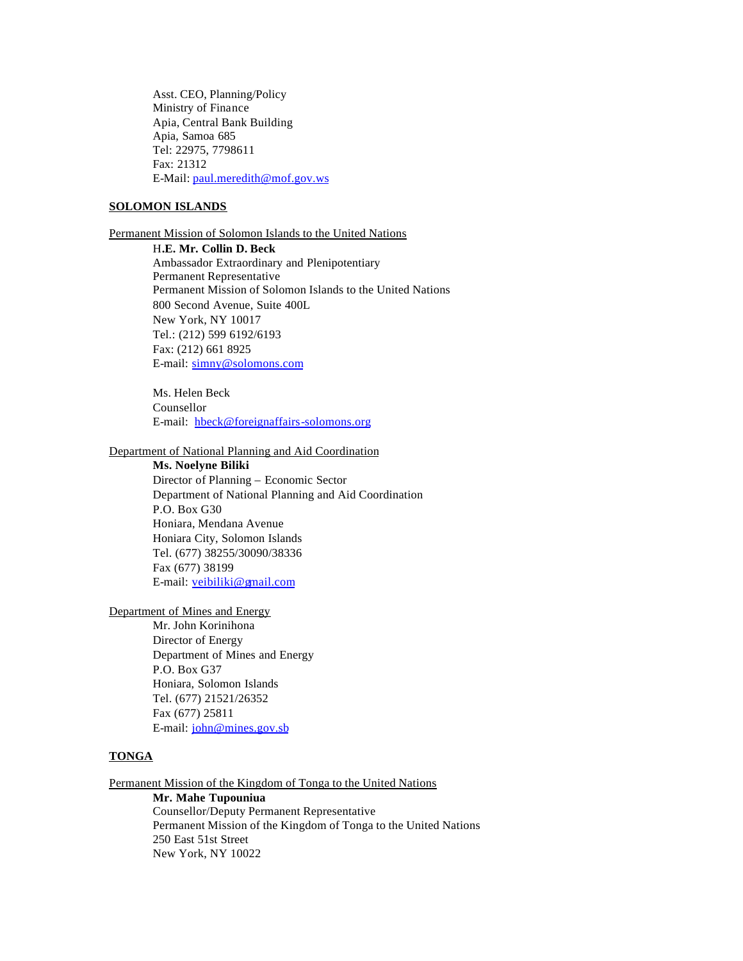Asst. CEO, Planning/Policy Ministry of Finance Apia, Central Bank Building Apia, Samoa 685 Tel: 22975, 7798611 Fax: 21312 E-Mail: paul.meredith@mof.gov.ws

## **SOLOMON ISLANDS**

Permanent Mission of Solomon Islands to the United Nations

H**.E. Mr. Collin D. Beck** Ambassador Extraordinary and Plenipotentiary Permanent Representative Permanent Mission of Solomon Islands to the United Nations 800 Second Avenue, Suite 400L New York, NY 10017 Tel.: (212) 599 6192/6193 Fax: (212) 661 8925 E-mail: simny@solomons.com

Ms. Helen Beck Counsellor E-mail: hbeck@foreignaffairs-solomons.org

### Department of National Planning and Aid Coordination

**Ms. Noelyne Biliki**

Director of Planning – Economic Sector Department of National Planning and Aid Coordination P.O. Box G30 Honiara, Mendana Avenue Honiara City, Solomon Islands Tel. (677) 38255/30090/38336 Fax (677) 38199 E-mail: veibiliki@gmail.com

Department of Mines and Energy

Mr. John Korinihona Director of Energy Department of Mines and Energy P.O. Box G37 Honiara, Solomon Islands Tel. (677) 21521/26352 Fax (677) 25811 E-mail: john@mines.gov.sb

### **TONGA**

Permanent Mission of the Kingdom of Tonga to the United Nations

**Mr. Mahe Tupouniua**

Counsellor/Deputy Permanent Representative Permanent Mission of the Kingdom of Tonga to the United Nations 250 East 51st Street New York, NY 10022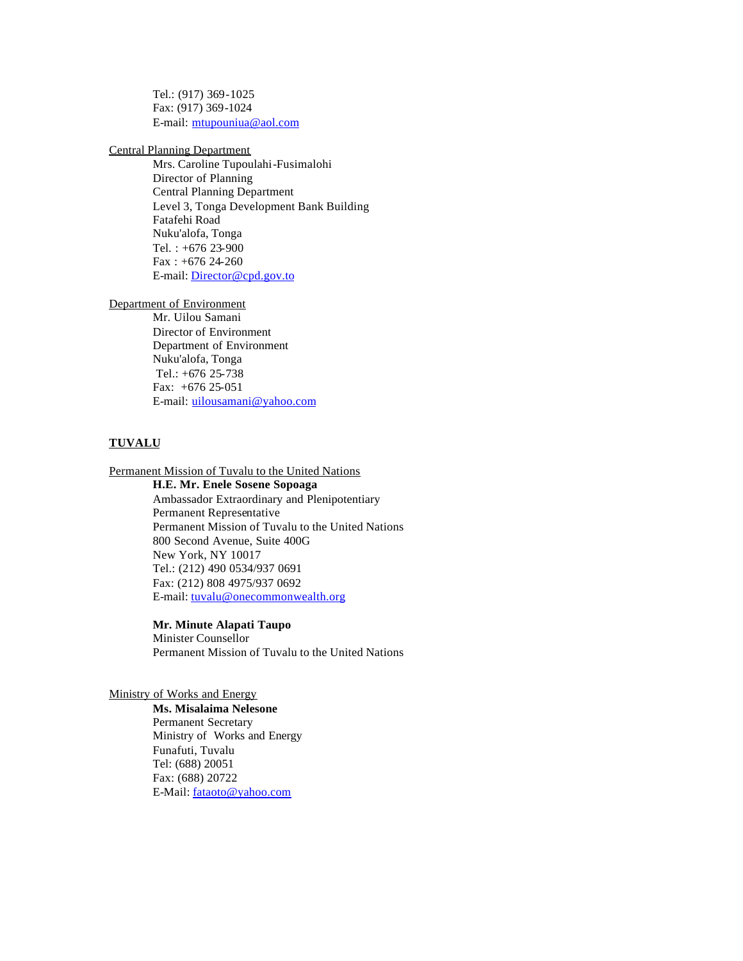Tel.: (917) 369-1025 Fax: (917) 369-1024 E-mail: mtupouniua@aol.com

Central Planning Department

Mrs. Caroline Tupoulahi-Fusimalohi Director of Planning Central Planning Department Level 3, Tonga Development Bank Building Fatafehi Road Nuku'alofa, Tonga Tel. : +676 23-900 Fax:  $+67624-260$ E-mail: Director@cpd.gov.to

Department of Environment

Mr. Uilou Samani Director of Environment Department of Environment Nuku'alofa, Tonga Tel.: +676 25-738 Fax: +676 25-051 E-mail: uilousamani@yahoo.com

## **TUVALU**

Permanent Mission of Tuvalu to the United Nations

**H.E. Mr. Enele Sosene Sopoaga** Ambassador Extraordinary and Plenipotentiary Permanent Representative Permanent Mission of Tuvalu to the United Nations 800 Second Avenue, Suite 400G New York, NY 10017 Tel.: (212) 490 0534/937 0691 Fax: (212) 808 4975/937 0692 E-mail: tuvalu@onecommonwealth.org

**Mr. Minute Alapati Taupo** Minister Counsellor Permanent Mission of Tuvalu to the United Nations

## Ministry of Works and Energy

**Ms. Misalaima Nelesone** Permanent Secretary Ministry of Works and Energy Funafuti, Tuvalu Tel: (688) 20051 Fax: (688) 20722 E-Mail: fataoto@yahoo.com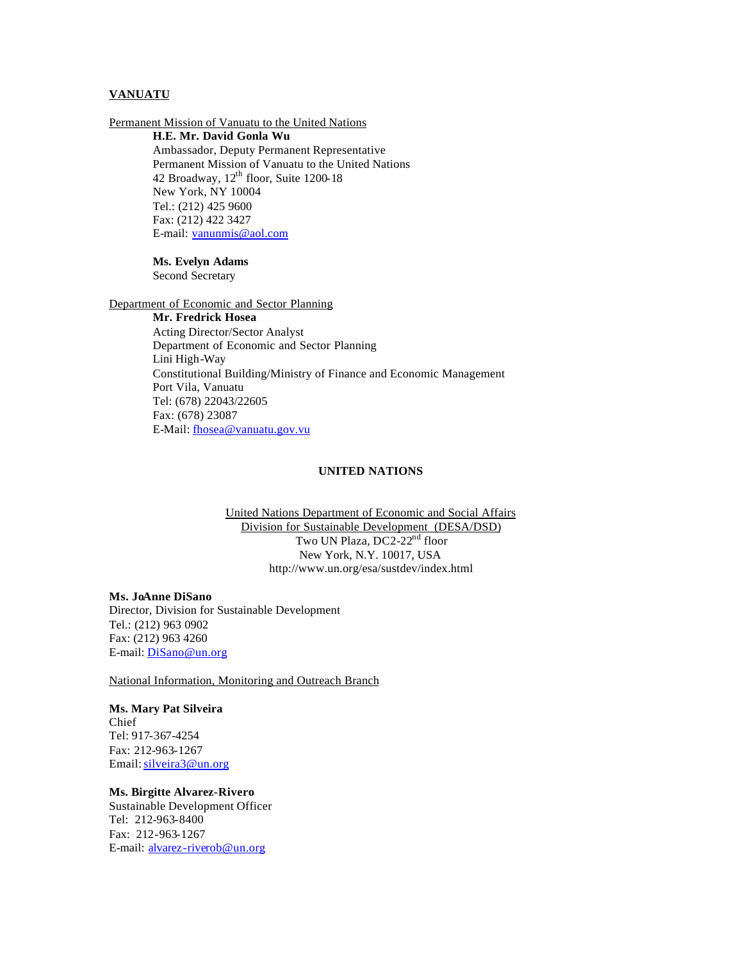## **VANUATU**

Permanent Mission of Vanuatu to the United Nations **H.E. Mr. David Gonla Wu** Ambassador, Deputy Permanent Representative Permanent Mission of Vanuatu to the United Nations 42 Broadway, 12<sup>th</sup> floor, Suite 1200-18 New York, NY 10004 Tel.: (212) 425 9600 Fax: (212) 422 3427 E-mail: vanunmis@aol.com

### **Ms. Evelyn Adams**

Second Secretary

Department of Economic and Sector Planning

**Mr. Fredrick Hosea** Acting Director/Sector Analyst Department of Economic and Sector Planning Lini High-Way Constitutional Building/Ministry of Finance and Economic Management Port Vila, Vanuatu Tel: (678) 22043/22605 Fax: (678) 23087 E-Mail: fhosea@vanuatu.gov.vu

### **UNITED NATIONS**

United Nations Department of Economic and Social Affairs Division for Sustainable Development (DESA/DSD) Two UN Plaza, DC2-22<sup>nd</sup> floor New York, N.Y. 10017, USA http://www.un.org/esa/sustdev/index.html

### **Ms. JoAnne DiSano**

Director, Division for Sustainable Development Tel.: (212) 963 0902 Fax: (212) 963 4260 E-mail: DiSano@un.org

National Information, Monitoring and Outreach Branch

## **Ms. Mary Pat Silveira**

Chief Tel: 917-367-4254 Fax: 212-963-1267 Email: silveira3@un.org

### **Ms. Birgitte Alvarez-Rivero**

Sustainable Development Officer Tel: 212-963-8400 Fax: 212-963-1267 E-mail: alvarez-riverob@un.org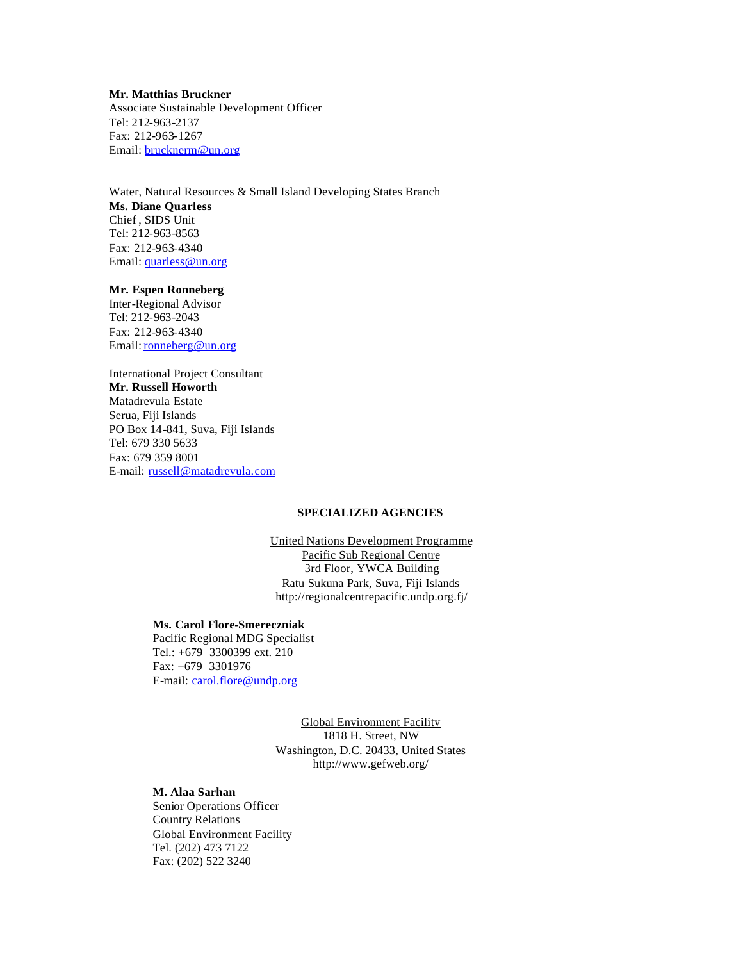## **Mr. Matthias Bruckner**

Associate Sustainable Development Officer Tel: 212-963-2137 Fax: 212-963-1267 Email: brucknerm@un.org

Water, Natural Resources & Small Island Developing States Branch

**Ms. Diane Quarless**  Chief , SIDS Unit Tel: 212-963-8563 Fax: 212-963-4340 Email: quarless@un.org

## **Mr. Espen Ronneberg**

Inter-Regional Advisor Tel: 212-963-2043 Fax: 212-963-4340 Email: ronneberg@un.org

### International Project Consultant **Mr. Russell Howorth**

Matadrevula Estate Serua, Fiji Islands PO Box 14-841, Suva, Fiji Islands Tel: 679 330 5633 Fax: 679 359 8001 E-mail: russell@matadrevula.com

### **SPECIALIZED AGENCIES**

United Nations Development Programme Pacific Sub Regional Centre 3rd Floor, YWCA Building Ratu Sukuna Park, Suva, Fiji Islands http://regionalcentrepacific.undp.org.fj/

## **Ms. Carol Flore-Smereczniak**

Pacific Regional MDG Specialist Tel.: +679 3300399 ext. 210 Fax: +679 3301976 E-mail: carol.flore@undp.org

> Global Environment Facility 1818 H. Street, NW Washington, D.C. 20433, United States http://www.gefweb.org/

### **M. Alaa Sarhan**

Senior Operations Officer Country Relations Global Environment Facility Tel. (202) 473 7122 Fax: (202) 522 3240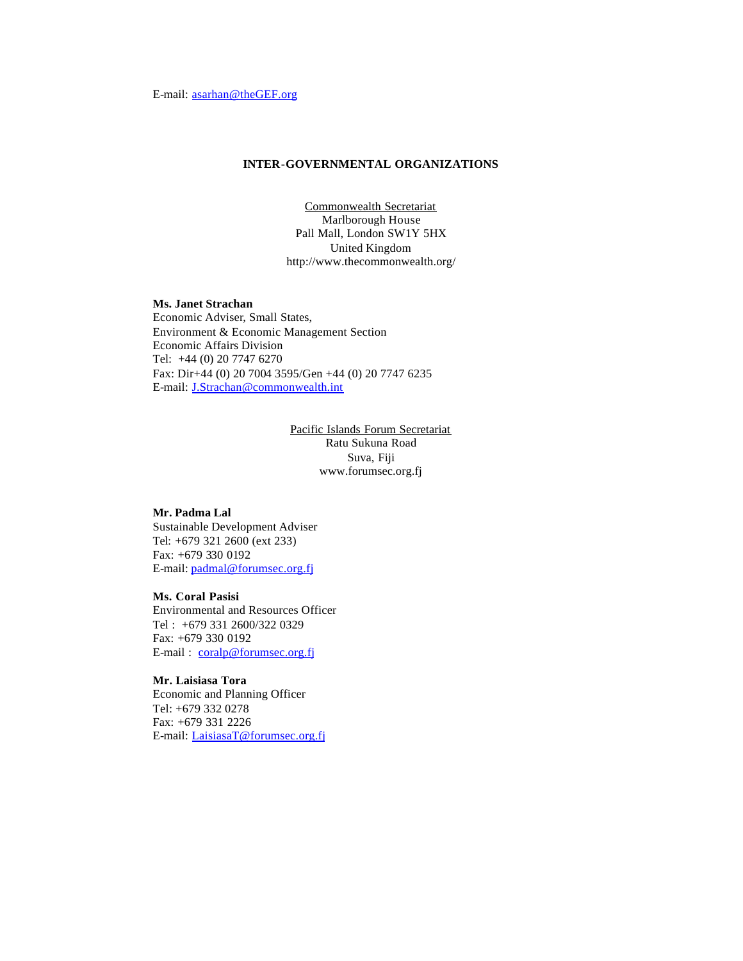## **INTER-GOVERNMENTAL ORGANIZATIONS**

Commonwealth Secretariat Marlborough House Pall Mall, London SW1Y 5HX United Kingdom http://www.thecommonwealth.org/

### **Ms. Janet Strachan**

Economic Adviser, Small States, Environment & Economic Management Section Economic Affairs Division Tel: +44 (0) 20 7747 6270 Fax: Dir+44 (0) 20 7004 3595/Gen +44 (0) 20 7747 6235 E-mail: J.Strachan@commonwealth.int

> Pacific Islands Forum Secretariat Ratu Sukuna Road Suva, Fiji www.forumsec.org.fj

## **Mr. Padma Lal**

Sustainable Development Adviser Tel: +679 321 2600 (ext 233) Fax: +679 330 0192 E-mail: padmal@forumsec.org.fj

### **Ms. Coral Pasisi**

Environmental and Resources Officer Tel : +679 331 2600/322 0329 Fax: +679 330 0192 E-mail: coralp@forumsec.org.fj

### **Mr. Laisiasa Tora** Economic and Planning Officer Tel: +679 332 0278 Fax: +679 331 2226 E-mail: LaisiasaT@forumsec.org.fj